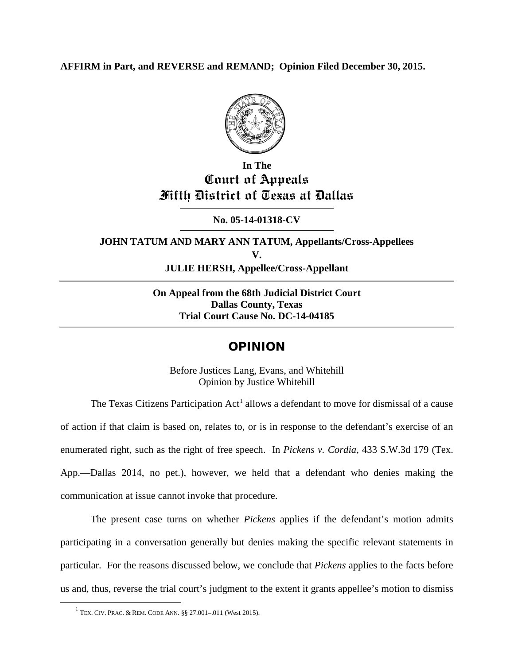**AFFIRM in Part, and REVERSE and REMAND; Opinion Filed December 30, 2015.**



# **In The Court of Appeals Fifth District of Texas at Dallas**

**No. 05-14-01318-CV**

**JOHN TATUM AND MARY ANN TATUM, Appellants/Cross-Appellees V. JULIE HERSH, Appellee/Cross-Appellant**

> **On Appeal from the 68th Judicial District Court Dallas County, Texas Trial Court Cause No. DC-14-04185**

# OPINION

Before Justices Lang, Evans, and Whitehill Opinion by Justice Whitehill

The Texas Citizens Participation  $Act<sup>1</sup>$  $Act<sup>1</sup>$  $Act<sup>1</sup>$  allows a defendant to move for dismissal of a cause of action if that claim is based on, relates to, or is in response to the defendant's exercise of an enumerated right, such as the right of free speech. In *Pickens v. Cordia*, 433 S.W.3d 179 (Tex. App.—Dallas 2014, no pet.), however, we held that a defendant who denies making the communication at issue cannot invoke that procedure.

The present case turns on whether *Pickens* applies if the defendant's motion admits participating in a conversation generally but denies making the specific relevant statements in particular. For the reasons discussed below, we conclude that *Pickens* applies to the facts before us and, thus, reverse the trial court's judgment to the extent it grants appellee's motion to dismiss

<span id="page-0-0"></span> <sup>1</sup> TEX. CIV. PRAC. & REM. CODE ANN. §§ 27.001–.011 (West 2015).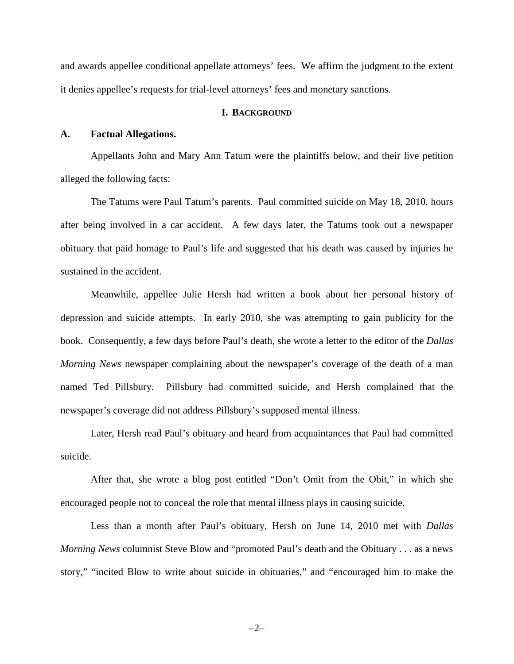and awards appellee conditional appellate attorneys' fees. We affirm the judgment to the extent it denies appellee's requests for trial-level attorneys' fees and monetary sanctions.

#### **I. BACKGROUND**

#### **A. Factual Allegations.**

Appellants John and Mary Ann Tatum were the plaintiffs below, and their live petition alleged the following facts:

The Tatums were Paul Tatum's parents. Paul committed suicide on May 18, 2010, hours after being involved in a car accident. A few days later, the Tatums took out a newspaper obituary that paid homage to Paul's life and suggested that his death was caused by injuries he sustained in the accident.

Meanwhile, appellee Julie Hersh had written a book about her personal history of depression and suicide attempts. In early 2010, she was attempting to gain publicity for the book. Consequently, a few days before Paul's death, she wrote a letter to the editor of the *Dallas Morning News* newspaper complaining about the newspaper's coverage of the death of a man named Ted Pillsbury. Pillsbury had committed suicide, and Hersh complained that the newspaper's coverage did not address Pillsbury's supposed mental illness.

Later, Hersh read Paul's obituary and heard from acquaintances that Paul had committed suicide.

After that, she wrote a blog post entitled "Don't Omit from the Obit," in which she encouraged people not to conceal the role that mental illness plays in causing suicide.

Less than a month after Paul's obituary, Hersh on June 14, 2010 met with *Dallas Morning News* columnist Steve Blow and "promoted Paul's death and the Obituary . . . as a news story," "incited Blow to write about suicide in obituaries," and "encouraged him to make the

–2–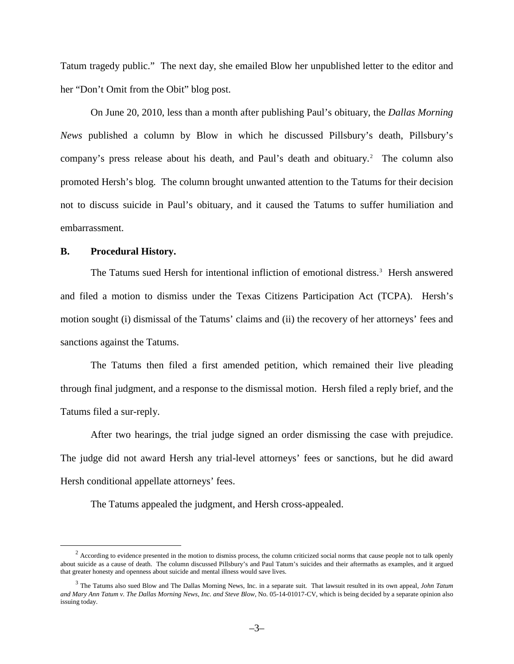Tatum tragedy public." The next day, she emailed Blow her unpublished letter to the editor and her "Don't Omit from the Obit" blog post.

On June 20, 2010, less than a month after publishing Paul's obituary, the *Dallas Morning News* published a column by Blow in which he discussed Pillsbury's death, Pillsbury's company's press release about his death, and Paul's death and obituary. [2](#page-2-0) The column also promoted Hersh's blog. The column brought unwanted attention to the Tatums for their decision not to discuss suicide in Paul's obituary, and it caused the Tatums to suffer humiliation and embarrassment.

#### **B. Procedural History.**

The Tatums sued Hersh for intentional infliction of emotional distress.<sup>[3](#page-2-1)</sup> Hersh answered and filed a motion to dismiss under the Texas Citizens Participation Act (TCPA). Hersh's motion sought (i) dismissal of the Tatums' claims and (ii) the recovery of her attorneys' fees and sanctions against the Tatums.

The Tatums then filed a first amended petition, which remained their live pleading through final judgment, and a response to the dismissal motion. Hersh filed a reply brief, and the Tatums filed a sur-reply.

After two hearings, the trial judge signed an order dismissing the case with prejudice. The judge did not award Hersh any trial-level attorneys' fees or sanctions, but he did award Hersh conditional appellate attorneys' fees.

The Tatums appealed the judgment, and Hersh cross-appealed.

<span id="page-2-0"></span> $2 \text{ According to evidence presented in the motion to dismiss process, the column criticized social norms that cause people not to talk openly.}$ about suicide as a cause of death. The column discussed Pillsbury's and Paul Tatum's suicides and their aftermaths as examples, and it argued that greater honesty and openness about suicide and mental illness would save lives.

<span id="page-2-1"></span><sup>3</sup> The Tatums also sued Blow and The Dallas Morning News, Inc. in a separate suit. That lawsuit resulted in its own appeal, *John Tatum and Mary Ann Tatum v. The Dallas Morning News, Inc. and Steve Blow*, No. 05-14-01017-CV, which is being decided by a separate opinion also issuing today.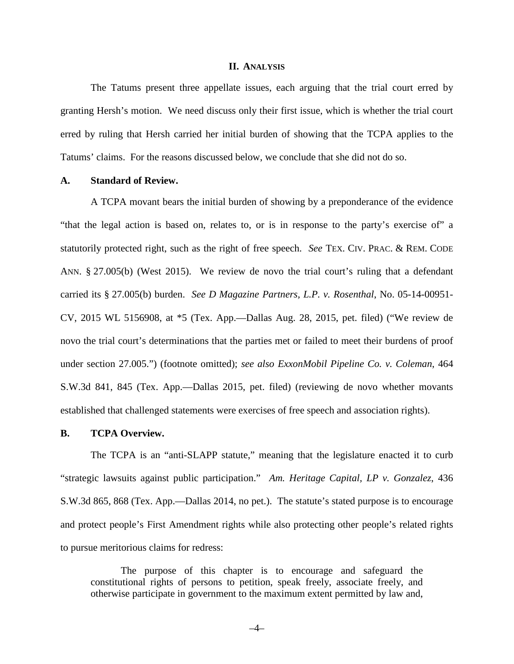#### **II. ANALYSIS**

The Tatums present three appellate issues, each arguing that the trial court erred by granting Hersh's motion. We need discuss only their first issue, which is whether the trial court erred by ruling that Hersh carried her initial burden of showing that the TCPA applies to the Tatums' claims. For the reasons discussed below, we conclude that she did not do so.

#### **A. Standard of Review.**

A TCPA movant bears the initial burden of showing by a preponderance of the evidence "that the legal action is based on, relates to, or is in response to the party's exercise of" a statutorily protected right, such as the right of free speech. *See* TEX. CIV. PRAC. & REM. CODE ANN. § 27.005(b) (West 2015). We review de novo the trial court's ruling that a defendant carried its § 27.005(b) burden. *See D Magazine Partners, L.P. v. Rosenthal*, No. 05-14-00951- CV, 2015 WL 5156908, at \*5 (Tex. App.—Dallas Aug. 28, 2015, pet. filed) ("We review de novo the trial court's determinations that the parties met or failed to meet their burdens of proof under section 27.005.") (footnote omitted); *see also ExxonMobil Pipeline Co. v. Coleman*, 464 S.W.3d 841, 845 (Tex. App.—Dallas 2015, pet. filed) (reviewing de novo whether movants established that challenged statements were exercises of free speech and association rights).

#### **B. TCPA Overview.**

The TCPA is an "anti-SLAPP statute," meaning that the legislature enacted it to curb "strategic lawsuits against public participation." *Am. Heritage Capital, LP v. Gonzalez*, 436 S.W.3d 865, 868 (Tex. App.—Dallas 2014, no pet.). The statute's stated purpose is to encourage and protect people's First Amendment rights while also protecting other people's related rights to pursue meritorious claims for redress:

The purpose of this chapter is to encourage and safeguard the constitutional rights of persons to petition, speak freely, associate freely, and otherwise participate in government to the maximum extent permitted by law and,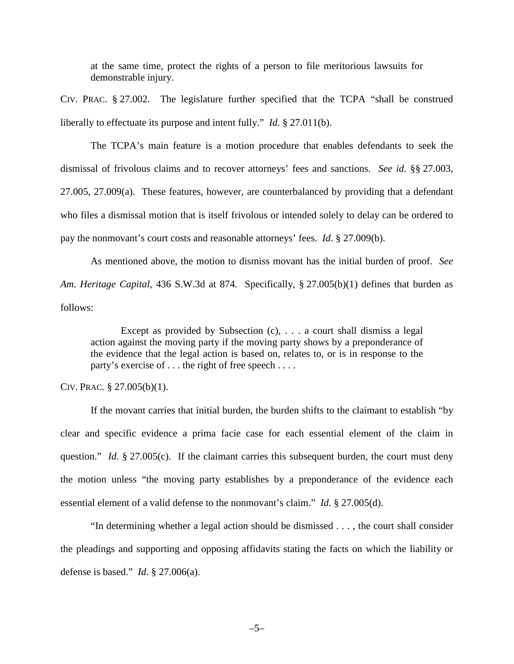at the same time, protect the rights of a person to file meritorious lawsuits for demonstrable injury.

CIV. PRAC. § 27.002. The legislature further specified that the TCPA "shall be construed liberally to effectuate its purpose and intent fully." *Id*. § 27.011(b).

The TCPA's main feature is a motion procedure that enables defendants to seek the dismissal of frivolous claims and to recover attorneys' fees and sanctions. *See id*. §§ 27.003, 27.005, 27.009(a). These features, however, are counterbalanced by providing that a defendant who files a dismissal motion that is itself frivolous or intended solely to delay can be ordered to pay the nonmovant's court costs and reasonable attorneys' fees. *Id*. § 27.009(b).

As mentioned above, the motion to dismiss movant has the initial burden of proof. *See Am. Heritage Capital*, 436 S.W.3d at 874. Specifically, § 27.005(b)(1) defines that burden as follows:

Except as provided by Subsection  $(c)$ , ... a court shall dismiss a legal action against the moving party if the moving party shows by a preponderance of the evidence that the legal action is based on, relates to, or is in response to the party's exercise of . . . the right of free speech . . . .

CIV. PRAC. § 27.005(b)(1).

If the movant carries that initial burden, the burden shifts to the claimant to establish "by clear and specific evidence a prima facie case for each essential element of the claim in question." *Id.* § 27.005(c). If the claimant carries this subsequent burden, the court must deny the motion unless "the moving party establishes by a preponderance of the evidence each essential element of a valid defense to the nonmovant's claim." *Id*. § 27.005(d).

"In determining whether a legal action should be dismissed . . . , the court shall consider the pleadings and supporting and opposing affidavits stating the facts on which the liability or defense is based." *Id*. § 27.006(a).

–5–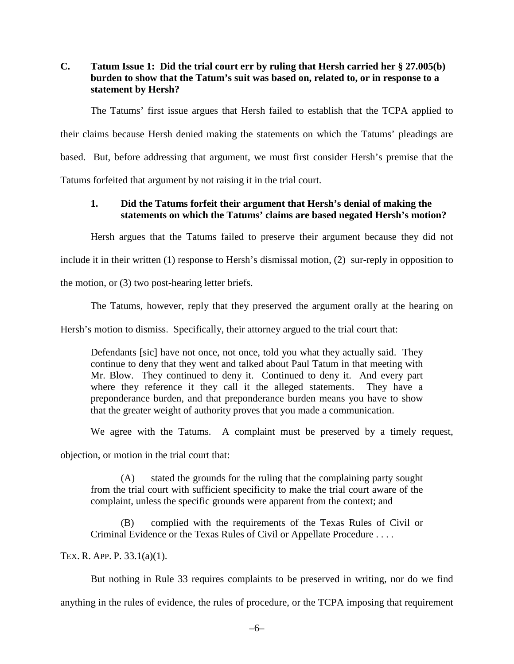## **C. Tatum Issue 1: Did the trial court err by ruling that Hersh carried her § 27.005(b) burden to show that the Tatum's suit was based on, related to, or in response to a statement by Hersh?**

The Tatums' first issue argues that Hersh failed to establish that the TCPA applied to their claims because Hersh denied making the statements on which the Tatums' pleadings are based. But, before addressing that argument, we must first consider Hersh's premise that the Tatums forfeited that argument by not raising it in the trial court.

# **1. Did the Tatums forfeit their argument that Hersh's denial of making the statements on which the Tatums' claims are based negated Hersh's motion?**

Hersh argues that the Tatums failed to preserve their argument because they did not

include it in their written (1) response to Hersh's dismissal motion, (2) sur-reply in opposition to

the motion, or (3) two post-hearing letter briefs.

The Tatums, however, reply that they preserved the argument orally at the hearing on

Hersh's motion to dismiss. Specifically, their attorney argued to the trial court that:

Defendants [sic] have not once, not once, told you what they actually said. They continue to deny that they went and talked about Paul Tatum in that meeting with Mr. Blow. They continued to deny it. Continued to deny it. And every part where they reference it they call it the alleged statements. They have a preponderance burden, and that preponderance burden means you have to show that the greater weight of authority proves that you made a communication.

We agree with the Tatums. A complaint must be preserved by a timely request,

objection, or motion in the trial court that:

(A) stated the grounds for the ruling that the complaining party sought from the trial court with sufficient specificity to make the trial court aware of the complaint, unless the specific grounds were apparent from the context; and

(B) complied with the requirements of the Texas Rules of Civil or Criminal Evidence or the Texas Rules of Civil or Appellate Procedure . . . .

TEX. R. APP. P. 33.1(a)(1).

But nothing in Rule 33 requires complaints to be preserved in writing, nor do we find anything in the rules of evidence, the rules of procedure, or the TCPA imposing that requirement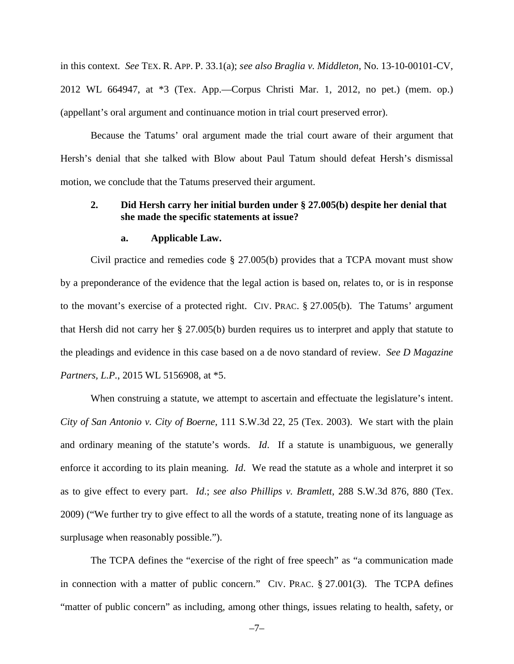in this context. *See* TEX. R. APP. P. 33.1(a); *see also Braglia v. Middleton*, No. 13-10-00101-CV, 2012 WL 664947, at \*3 (Tex. App.—Corpus Christi Mar. 1, 2012, no pet.) (mem. op.) (appellant's oral argument and continuance motion in trial court preserved error).

Because the Tatums' oral argument made the trial court aware of their argument that Hersh's denial that she talked with Blow about Paul Tatum should defeat Hersh's dismissal motion, we conclude that the Tatums preserved their argument.

#### **2. Did Hersh carry her initial burden under § 27.005(b) despite her denial that she made the specific statements at issue?**

#### **a. Applicable Law.**

Civil practice and remedies code § 27.005(b) provides that a TCPA movant must show by a preponderance of the evidence that the legal action is based on, relates to, or is in response to the movant's exercise of a protected right. CIV. PRAC. § 27.005(b). The Tatums' argument that Hersh did not carry her § 27.005(b) burden requires us to interpret and apply that statute to the pleadings and evidence in this case based on a de novo standard of review. *See D Magazine Partners, L.P.*, 2015 WL 5156908, at \*5.

When construing a statute, we attempt to ascertain and effectuate the legislature's intent. *City of San Antonio v. City of Boerne*, 111 S.W.3d 22, 25 (Tex. 2003). We start with the plain and ordinary meaning of the statute's words. *Id*. If a statute is unambiguous, we generally enforce it according to its plain meaning. *Id*. We read the statute as a whole and interpret it so as to give effect to every part. *Id*.; *see also Phillips v. Bramlett*, 288 S.W.3d 876, 880 (Tex. 2009) ("We further try to give effect to all the words of a statute, treating none of its language as surplusage when reasonably possible.").

The TCPA defines the "exercise of the right of free speech" as "a communication made in connection with a matter of public concern." CIV. PRAC. § 27.001(3). The TCPA defines "matter of public concern" as including, among other things, issues relating to health, safety, or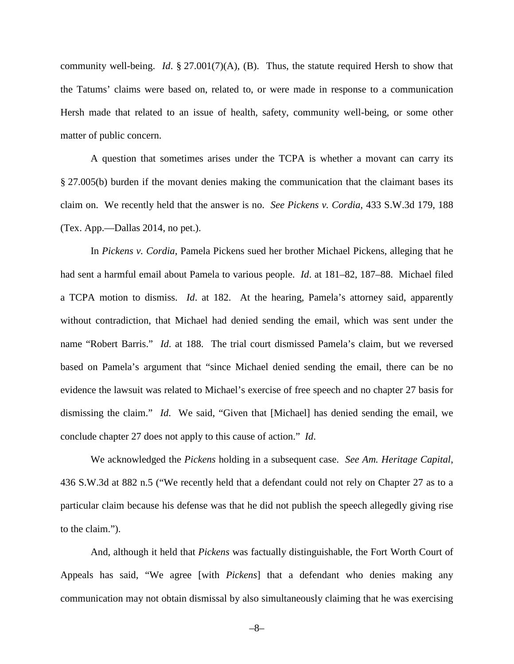community well-being. *Id*. § 27.001(7)(A), (B). Thus, the statute required Hersh to show that the Tatums' claims were based on, related to, or were made in response to a communication Hersh made that related to an issue of health, safety, community well-being, or some other matter of public concern.

A question that sometimes arises under the TCPA is whether a movant can carry its § 27.005(b) burden if the movant denies making the communication that the claimant bases its claim on. We recently held that the answer is no. *See Pickens v. Cordia*, 433 S.W.3d 179, 188 (Tex. App.—Dallas 2014, no pet.).

In *Pickens v. Cordia*, Pamela Pickens sued her brother Michael Pickens, alleging that he had sent a harmful email about Pamela to various people. *Id*. at 181–82, 187–88. Michael filed a TCPA motion to dismiss. *Id*. at 182. At the hearing, Pamela's attorney said, apparently without contradiction, that Michael had denied sending the email, which was sent under the name "Robert Barris." *Id*. at 188. The trial court dismissed Pamela's claim, but we reversed based on Pamela's argument that "since Michael denied sending the email, there can be no evidence the lawsuit was related to Michael's exercise of free speech and no chapter 27 basis for dismissing the claim." *Id*. We said, "Given that [Michael] has denied sending the email, we conclude chapter 27 does not apply to this cause of action." *Id*.

We acknowledged the *Pickens* holding in a subsequent case. *See Am. Heritage Capital*, 436 S.W.3d at 882 n.5 ("We recently held that a defendant could not rely on Chapter 27 as to a particular claim because his defense was that he did not publish the speech allegedly giving rise to the claim.").

And, although it held that *Pickens* was factually distinguishable, the Fort Worth Court of Appeals has said, "We agree [with *Pickens*] that a defendant who denies making any communication may not obtain dismissal by also simultaneously claiming that he was exercising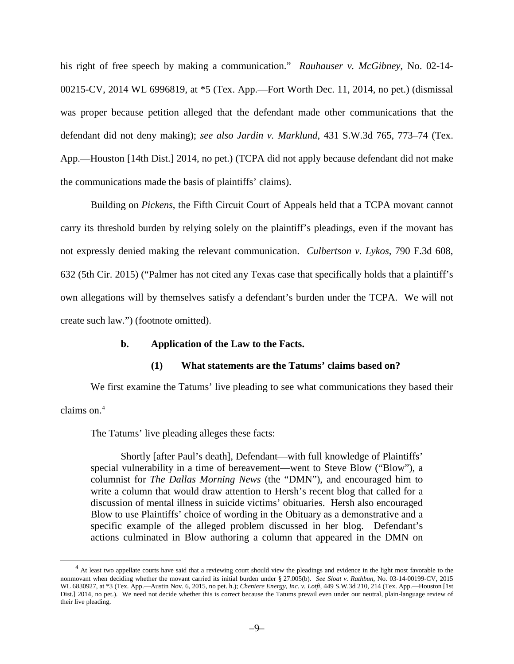his right of free speech by making a communication." *Rauhauser v. McGibney*, No. 02-14- 00215-CV, 2014 WL 6996819, at \*5 (Tex. App.—Fort Worth Dec. 11, 2014, no pet.) (dismissal was proper because petition alleged that the defendant made other communications that the defendant did not deny making); *see also Jardin v. Marklund*, 431 S.W.3d 765, 773–74 (Tex. App.—Houston [14th Dist.] 2014, no pet.) (TCPA did not apply because defendant did not make the communications made the basis of plaintiffs' claims).

Building on *Pickens*, the Fifth Circuit Court of Appeals held that a TCPA movant cannot carry its threshold burden by relying solely on the plaintiff's pleadings, even if the movant has not expressly denied making the relevant communication. *Culbertson v. Lykos*, 790 F.3d 608, 632 (5th Cir. 2015) ("Palmer has not cited any Texas case that specifically holds that a plaintiff's own allegations will by themselves satisfy a defendant's burden under the TCPA. We will not create such law.") (footnote omitted).

#### **b. Application of the Law to the Facts.**

#### **(1) What statements are the Tatums' claims based on?**

We first examine the Tatums' live pleading to see what communications they based their claims on.<sup>[4](#page-8-0)</sup>

The Tatums' live pleading alleges these facts:

Shortly [after Paul's death], Defendant—with full knowledge of Plaintiffs' special vulnerability in a time of bereavement—went to Steve Blow ("Blow"), a columnist for *The Dallas Morning News* (the "DMN"), and encouraged him to write a column that would draw attention to Hersh's recent blog that called for a discussion of mental illness in suicide victims' obituaries. Hersh also encouraged Blow to use Plaintiffs' choice of wording in the Obituary as a demonstrative and a specific example of the alleged problem discussed in her blog. Defendant's actions culminated in Blow authoring a column that appeared in the DMN on

<span id="page-8-0"></span><sup>&</sup>lt;sup>4</sup> At least two appellate courts have said that a reviewing court should view the pleadings and evidence in the light most favorable to the nonmovant when deciding whether the movant carried its initial burden under § 27.005(b). *See Sloat v. Rathbun*, No. 03-14-00199-CV, 2015 WL 6830927, at \*3 (Tex. App.—Austin Nov. 6, 2015, no pet. h.); *Cheniere Energy, Inc. v. Lotfi*, 449 S.W.3d 210, 214 (Tex. App.—Houston [1st Dist.] 2014, no pet.). We need not decide whether this is correct because the Tatums prevail even under our neutral, plain-language review of their live pleading.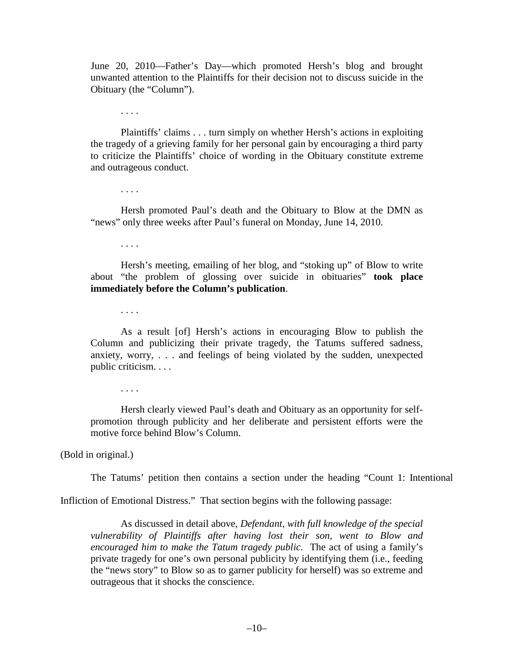June 20, 2010—Father's Day—which promoted Hersh's blog and brought unwanted attention to the Plaintiffs for their decision not to discuss suicide in the Obituary (the "Column").

. . . .

Plaintiffs' claims . . . turn simply on whether Hersh's actions in exploiting the tragedy of a grieving family for her personal gain by encouraging a third party to criticize the Plaintiffs' choice of wording in the Obituary constitute extreme and outrageous conduct.

. . . .

Hersh promoted Paul's death and the Obituary to Blow at the DMN as "news" only three weeks after Paul's funeral on Monday, June 14, 2010.

. . . .

Hersh's meeting, emailing of her blog, and "stoking up" of Blow to write about "the problem of glossing over suicide in obituaries" **took place immediately before the Column's publication**.

. . . .

As a result [of] Hersh's actions in encouraging Blow to publish the Column and publicizing their private tragedy, the Tatums suffered sadness, anxiety, worry, . . . and feelings of being violated by the sudden, unexpected public criticism. . . .

. . . .

Hersh clearly viewed Paul's death and Obituary as an opportunity for selfpromotion through publicity and her deliberate and persistent efforts were the motive force behind Blow's Column.

(Bold in original.)

The Tatums' petition then contains a section under the heading "Count 1: Intentional

Infliction of Emotional Distress." That section begins with the following passage:

As discussed in detail above, *Defendant, with full knowledge of the special vulnerability of Plaintiffs after having lost their son, went to Blow and encouraged him to make the Tatum tragedy public*. The act of using a family's private tragedy for one's own personal publicity by identifying them (i.e., feeding the "news story" to Blow so as to garner publicity for herself) was so extreme and outrageous that it shocks the conscience.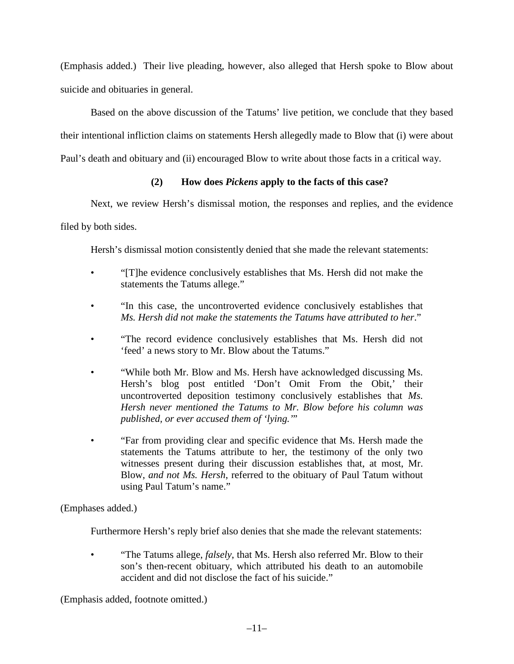(Emphasis added.) Their live pleading, however, also alleged that Hersh spoke to Blow about suicide and obituaries in general.

Based on the above discussion of the Tatums' live petition, we conclude that they based their intentional infliction claims on statements Hersh allegedly made to Blow that (i) were about Paul's death and obituary and (ii) encouraged Blow to write about those facts in a critical way.

## **(2) How does** *Pickens* **apply to the facts of this case?**

Next, we review Hersh's dismissal motion, the responses and replies, and the evidence

filed by both sides.

Hersh's dismissal motion consistently denied that she made the relevant statements:

- "[T]he evidence conclusively establishes that Ms. Hersh did not make the statements the Tatums allege."
- "In this case, the uncontroverted evidence conclusively establishes that *Ms. Hersh did not make the statements the Tatums have attributed to her*."
- "The record evidence conclusively establishes that Ms. Hersh did not 'feed' a news story to Mr. Blow about the Tatums."
- "While both Mr. Blow and Ms. Hersh have acknowledged discussing Ms. Hersh's blog post entitled 'Don't Omit From the Obit,' their uncontroverted deposition testimony conclusively establishes that *Ms. Hersh never mentioned the Tatums to Mr. Blow before his column was published, or ever accused them of 'lying.'*"
- "Far from providing clear and specific evidence that Ms. Hersh made the statements the Tatums attribute to her, the testimony of the only two witnesses present during their discussion establishes that, at most, Mr. Blow, *and not Ms. Hersh*, referred to the obituary of Paul Tatum without using Paul Tatum's name."

(Emphases added.)

Furthermore Hersh's reply brief also denies that she made the relevant statements:

• "The Tatums allege, *falsely*, that Ms. Hersh also referred Mr. Blow to their son's then-recent obituary, which attributed his death to an automobile accident and did not disclose the fact of his suicide."

(Emphasis added, footnote omitted.)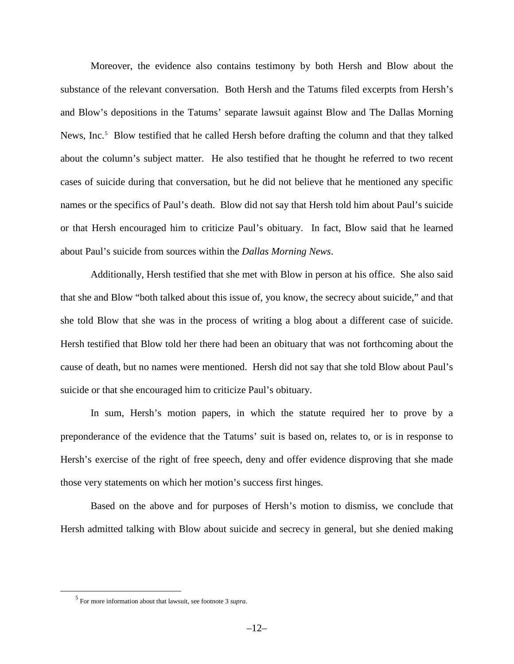Moreover, the evidence also contains testimony by both Hersh and Blow about the substance of the relevant conversation. Both Hersh and the Tatums filed excerpts from Hersh's and Blow's depositions in the Tatums' separate lawsuit against Blow and The Dallas Morning News, Inc.<sup>[5](#page-11-0)</sup> Blow testified that he called Hersh before drafting the column and that they talked about the column's subject matter. He also testified that he thought he referred to two recent cases of suicide during that conversation, but he did not believe that he mentioned any specific names or the specifics of Paul's death. Blow did not say that Hersh told him about Paul's suicide or that Hersh encouraged him to criticize Paul's obituary. In fact, Blow said that he learned about Paul's suicide from sources within the *Dallas Morning News*.

Additionally, Hersh testified that she met with Blow in person at his office. She also said that she and Blow "both talked about this issue of, you know, the secrecy about suicide," and that she told Blow that she was in the process of writing a blog about a different case of suicide. Hersh testified that Blow told her there had been an obituary that was not forthcoming about the cause of death, but no names were mentioned. Hersh did not say that she told Blow about Paul's suicide or that she encouraged him to criticize Paul's obituary.

In sum, Hersh's motion papers, in which the statute required her to prove by a preponderance of the evidence that the Tatums' suit is based on, relates to, or is in response to Hersh's exercise of the right of free speech, deny and offer evidence disproving that she made those very statements on which her motion's success first hinges.

Based on the above and for purposes of Hersh's motion to dismiss, we conclude that Hersh admitted talking with Blow about suicide and secrecy in general, but she denied making

<span id="page-11-0"></span> <sup>5</sup> For more information about that lawsuit, see footnote 3 *supra*.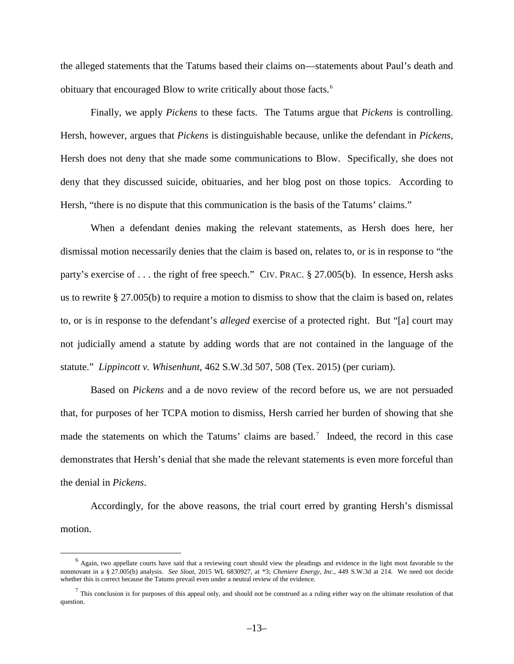the alleged statements that the Tatums based their claims on—statements about Paul's death and obituary that encouraged Blow to write critically about those facts.[6](#page-12-0)

Finally, we apply *Pickens* to these facts. The Tatums argue that *Pickens* is controlling. Hersh, however, argues that *Pickens* is distinguishable because, unlike the defendant in *Pickens*, Hersh does not deny that she made some communications to Blow. Specifically, she does not deny that they discussed suicide, obituaries, and her blog post on those topics. According to Hersh, "there is no dispute that this communication is the basis of the Tatums' claims."

When a defendant denies making the relevant statements, as Hersh does here, her dismissal motion necessarily denies that the claim is based on, relates to, or is in response to "the party's exercise of . . . the right of free speech." CIV. PRAC. § 27.005(b). In essence, Hersh asks us to rewrite § 27.005(b) to require a motion to dismiss to show that the claim is based on, relates to, or is in response to the defendant's *alleged* exercise of a protected right. But "[a] court may not judicially amend a statute by adding words that are not contained in the language of the statute." *Lippincott v. Whisenhunt*, 462 S.W.3d 507, 508 (Tex. 2015) (per curiam).

Based on *Pickens* and a de novo review of the record before us, we are not persuaded that, for purposes of her TCPA motion to dismiss, Hersh carried her burden of showing that she made the statements on which the Tatums' claims are based.<sup>[7](#page-12-1)</sup> Indeed, the record in this case demonstrates that Hersh's denial that she made the relevant statements is even more forceful than the denial in *Pickens*.

Accordingly, for the above reasons, the trial court erred by granting Hersh's dismissal motion.

<span id="page-12-0"></span> $<sup>6</sup>$  Again, two appellate courts have said that a reviewing court should view the pleadings and evidence in the light most favorable to the</sup> nonmovant in a § 27.005(b) analysis. *See Sloat*, 2015 WL 6830927, at \*3; *Cheniere Energy, Inc.*, 449 S.W.3d at 214. We need not decide whether this is correct because the Tatums prevail even under a neutral review of the evidence.

<span id="page-12-1"></span> $<sup>7</sup>$  This conclusion is for purposes of this appeal only, and should not be construed as a ruling either way on the ultimate resolution of that</sup> question.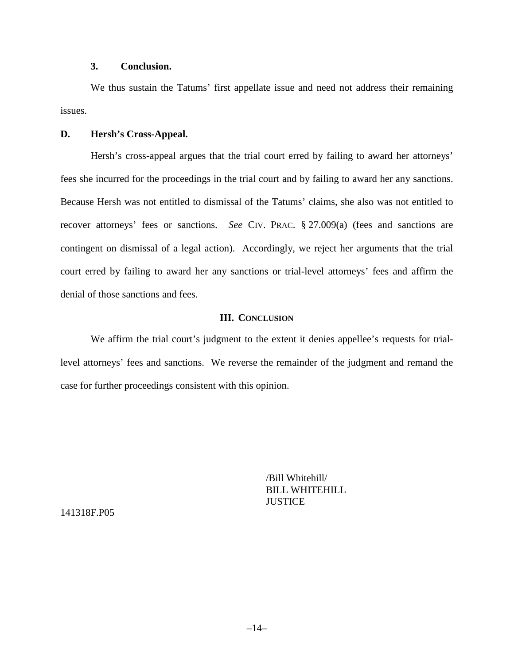## **3. Conclusion.**

We thus sustain the Tatums' first appellate issue and need not address their remaining issues.

#### **D. Hersh's Cross-Appeal.**

Hersh's cross-appeal argues that the trial court erred by failing to award her attorneys' fees she incurred for the proceedings in the trial court and by failing to award her any sanctions. Because Hersh was not entitled to dismissal of the Tatums' claims, she also was not entitled to recover attorneys' fees or sanctions. *See* CIV. PRAC. § 27.009(a) (fees and sanctions are contingent on dismissal of a legal action). Accordingly, we reject her arguments that the trial court erred by failing to award her any sanctions or trial-level attorneys' fees and affirm the denial of those sanctions and fees.

### **III. CONCLUSION**

We affirm the trial court's judgment to the extent it denies appellee's requests for triallevel attorneys' fees and sanctions. We reverse the remainder of the judgment and remand the case for further proceedings consistent with this opinion.

> /Bill Whitehill/ BILL WHITEHILL **JUSTICE**

141318F.P05